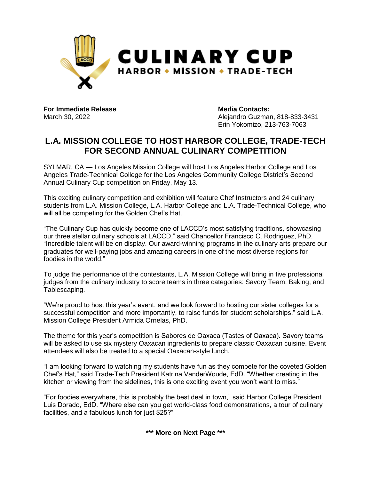

**For Immediate Release Media Contacts:**

March 30, 2022 **Alejandro Guzman, 818-833-3431** Erin Yokomizo, 213-763-7063

#### **L.A. MISSION COLLEGE TO HOST HARBOR COLLEGE, TRADE-TECH FOR SECOND ANNUAL CULINARY COMPETITION**

SYLMAR, CA — Los Angeles Mission College will host Los Angeles Harbor College and Los Angeles Trade-Technical College for the Los Angeles Community College District's Second Annual Culinary Cup competition on Friday, May 13.

This exciting culinary competition and exhibition will feature Chef Instructors and 24 culinary students from L.A. Mission College, L.A. Harbor College and L.A. Trade-Technical College, who will all be competing for the Golden Chef's Hat.

"The Culinary Cup has quickly become one of LACCD's most satisfying traditions, showcasing our three stellar culinary schools at LACCD," said Chancellor Francisco C. Rodriguez, PhD. "Incredible talent will be on display. Our award-winning programs in the culinary arts prepare our graduates for well-paying jobs and amazing careers in one of the most diverse regions for foodies in the world."

To judge the performance of the contestants, L.A. Mission College will bring in five professional judges from the culinary industry to score teams in three categories: Savory Team, Baking, and Tablescaping.

"We're proud to host this year's event, and we look forward to hosting our sister colleges for a successful competition and more importantly, to raise funds for student scholarships," said L.A. Mission College President Armida Ornelas, PhD.

The theme for this year's competition is Sabores de Oaxaca (Tastes of Oaxaca). Savory teams will be asked to use six mystery Oaxacan ingredients to prepare classic Oaxacan cuisine. Event attendees will also be treated to a special Oaxacan-style lunch.

"I am looking forward to watching my students have fun as they compete for the coveted Golden Chef's Hat," said Trade-Tech President Katrina VanderWoude, EdD. "Whether creating in the kitchen or viewing from the sidelines, this is one exciting event you won't want to miss."

"For foodies everywhere, this is probably the best deal in town," said Harbor College President Luis Dorado, EdD. "Where else can you get world-class food demonstrations, a tour of culinary facilities, and a fabulous lunch for just \$25?"

**\*\*\* More on Next Page \*\*\***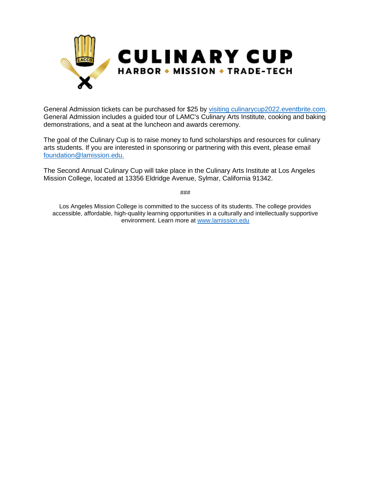

General Admission tickets can be purchased for \$25 by [visiting culinarycup2022.eventbrite.com.](https://www.eventbrite.com/e/la-mission-college-presents-second-annual-culinary-cup-tickets-267907627927) General Admission includes a guided tour of LAMC's Culinary Arts Institute, cooking and baking demonstrations, and a seat at the luncheon and awards ceremony.

The goal of the Culinary Cup is to raise money to fund scholarships and resources for culinary arts students. If you are interested in sponsoring or partnering with this event, please email [foundation@lamission.edu.](mailto:foundation@lamission.edu)

The Second Annual Culinary Cup will take place in the Culinary Arts Institute at Los Angeles Mission College, located at 13356 Eldridge Avenue, Sylmar, California 91342.

###

Los Angeles Mission College is committed to the success of its students. The college provides accessible, affordable, high-quality learning opportunities in a culturally and intellectually supportive environment. Learn more at [www.lamission.edu](http://www.lamission.edu/)